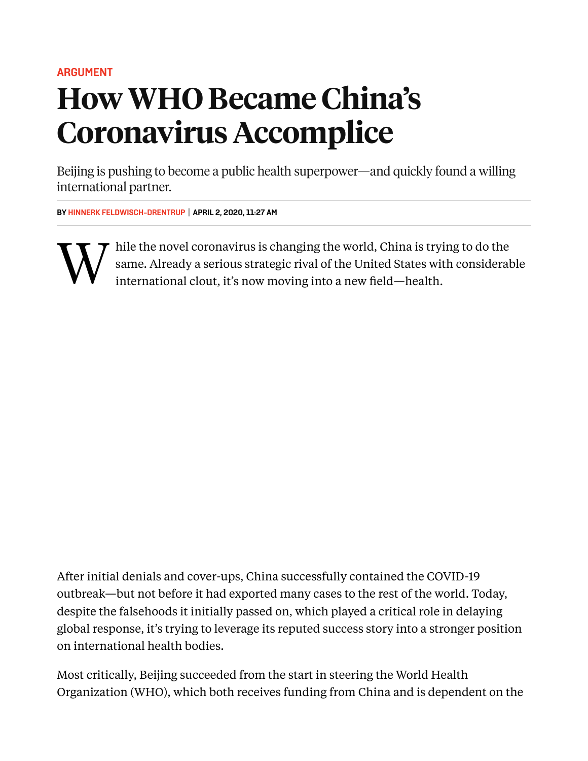#### **[ARGUMENT](https://foreignpolicy.com/category/analysis/argument/)**

# HowWHO BecameChina's Coronavirus Accomplice

Beijing is pushing to become a public health superpower—and quickly found a willing international partner.

**BY HINNERK [FELDWISCH-DRENTRUP](https://foreignpolicy.com/author/hinnerk-feldwisch-drentrup/) | APRIL 2, 2020, 11:27 AM**



hile the novel coronavirus is changing the world, China is trying to do the same. Already a serious strategic rival of the United States with considerable international clout, it's now moving into a new field—health.

After initial denials and cover-ups, China successfully contained the COVID-19 outbreak—but not before it had exported many cases to the rest of the world. Today, despite the falsehoods it initially passed on, which played a critical role in delaying global response, it's trying to leverage its reputed success story into a stronger position on international health bodies.

Most critically, Beijing succeeded from the start in steering the World Health Organization (WHO), which both receives funding from China and is dependent on the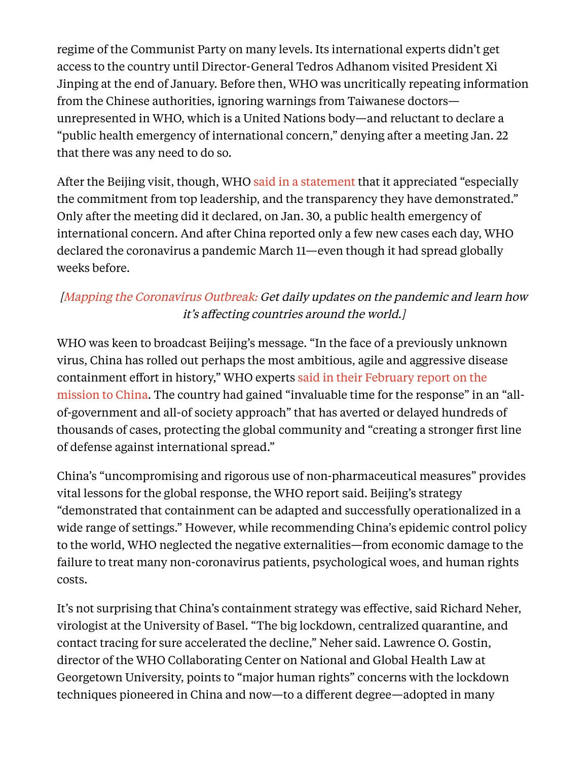regime of the Communist Party on many levels. Its international experts didn't get access to the country until Director-General Tedros Adhanom visited President Xi Jinping at the end of January. Before then, WHO was uncritically repeating information from the Chinese authorities, ignoring warnings from Taiwanese doctors unrepresented in WHO, which is a United Nations body—and reluctant to declare a "public health emergency of international concern," denying after a meeting Jan. 22 that there was any need to do so.

After the Beijing visit, though, WHO said in a [statement](https://www.who.int/news-room/detail/28-01-2020-who-china-leaders-discuss-next-steps-in-battle-against-coronavirus-outbreak) that it appreciated "especially the commitment from top leadership, and the transparency they have demonstrated." Only after the meeting did it declared, on Jan. 30, a public health emergency of international concern. And after China reported only a few new cases each day, WHO declared the coronavirus a pandemic March 11—even though it had spread globally weeks before.

## [Mapping the [Coronavirus](https://foreignpolicy.com/2020/03/04/mapping-coronavirus-outbreak-infographic/) Outbreak: Get daily updates on the pandemic and learn how it's affecting countries around the world.]

WHO was keen to broadcast Beijing's message. "In the face of a previously unknown virus, China has rolled out perhaps the most ambitious, agile and aggressive disease [containment](https://www.who.int/docs/default-source/coronaviruse/who-china-joint-mission-on-covid-19-final-report.pdf) effort in history," WHO experts said in their February report on the mission to China. The country had gained "invaluable time for the response" in an "allof-government and all-of society approach" that has averted or delayed hundreds of thousands of cases, protecting the global community and "creating a stronger first line of defense against international spread."

China's "uncompromising and rigorous use of non-pharmaceutical measures" provides vital lessons for the global response, the WHO report said. Beijing's strategy "demonstrated that containment can be adapted and successfully operationalized in a wide range of settings." However, while recommending China's epidemic control policy to the world, WHO neglected the negative externalities—from economic damage to the failure to treat many non-coronavirus patients, psychological woes, and human rights costs.

It's not surprising that China's containment strategy was effective, said Richard Neher, virologist at the University of Basel. "The big lockdown, centralized quarantine, and contact tracing for sure accelerated the decline," Neher said. Lawrence O. Gostin, director of the WHO Collaborating Center on National and Global Health Law at Georgetown University, points to "major human rights" concerns with the lockdown techniques pioneered in China and now—to a different degree—adopted in many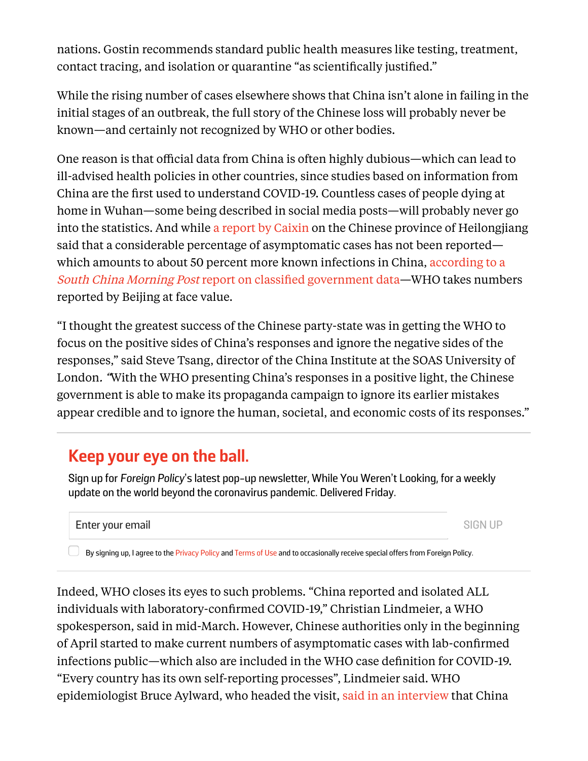nations. Gostin recommends standard public health measures like testing, treatment, contact tracing, and isolation or quarantine "as scientifically justified."

While the rising number of cases elsewhere shows that China isn't alone in failing in the initial stages of an outbreak, the full story of the Chinese loss will probably never be known—and certainly not recognized by WHO or other bodies.

One reason is that official data from China is often highly dubious—which can lead to ill-advised health policies in other countries, since studies based on information from China are the first used to understand COVID-19. Countless cases of people dying at home in Wuhan—some being described in social media posts—will probably never go into the statistics. And while a report by [Caixin](https://www.caixinglobal.com/2020-03-01/chinas-decision-to-leave-asymptomatic-patients-off-coronavirus-infection-tally-sparks-debate-101522529.html) on the Chinese province of Heilongjiang said that a considerable percentage of asymptomatic cases has not been reported which amounts to about 50 percent more known infections in China, according to a South China Morning Post report on classified [government](https://www.scmp.com/news/china/society/article/3076323/third-coronavirus-cases-may-be-silent-carriers-classified) data—WHO takes numbers reported by Beijing at face value.

"I thought the greatest success of the Chinese party-state was in getting the WHO to focus on the positive sides of China's responses and ignore the negative sides of the responses," said Steve Tsang, director of the China Institute at the SOAS University of London. "With the WHO presenting China's responses in a positive light, the Chinese government is able to make its propaganda campaign to ignore its earlier mistakes appear credible and to ignore the human, societal, and economic costs of its responses."

## **Keep your eye on the ball.**

Sign up for *Foreign Policy*'s latest pop-up newsletter, While You Weren't Looking, for a weekly update on the world beyond the coronavirus pandemic. Delivered Friday.

### Enter your email and the state of the state of the state of the state of the SIGN UP

By signing up, I agree to the [Privacy](https://foreignpolicy.com/privacy/) Policy and [Terms](https://foreignpolicy.com/termsofuse/) of Use and to occasionally receive special offers from Foreign Policy.

Indeed, WHO closes its eyes to such problems. "China reported and isolated ALL individuals with laboratory-confirmed COVID-19," Christian Lindmeier, a WHO spokesperson, said in mid-March. However, Chinese authorities only in the beginning of April started to make current numbers of asymptomatic cases with lab-confirmed infections public—which also are included in the WHO case definition for COVID-19. "Every country has its own self-reporting processes", Lindmeier said. WHO epidemiologist Bruce Aylward, who headed the visit, said in an [interview](https://www.vox.com/2020/3/2/21161067/coronavirus-covid19-china) that China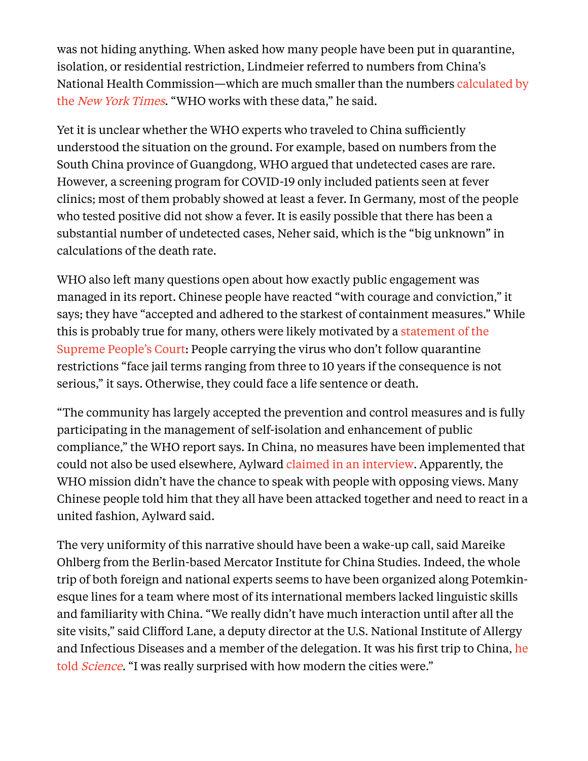was not hiding anything. When asked how many people have been put in quarantine, isolation, or residential restriction, Lindmeier referred to numbers from China's National Health [Commission—which](https://www.nytimes.com/2020/02/15/business/china-coronavirus-lockdown.html) are much smaller than the numbers calculated by the New York Times. "WHO works with these data," he said.

Yet it is unclear whether the WHO experts who traveled to China sufficiently understood the situation on the ground. For example, based on numbers from the South China province of Guangdong, WHO argued that undetected cases are rare. However, a screening program for COVID-19 only included patients seen at fever clinics; most of them probably showed at least a fever. In Germany, most of the people who tested positive did not show a fever. It is easily possible that there has been a substantial number of undetected cases, Neher said, which is the "big unknown" in calculations of the death rate.

WHO also left many questions open about how exactly public engagement was managed in its report. Chinese people have reacted "with courage and conviction," it says; they have "accepted and adhered to the starkest of containment measures." While this is probably true for many, others were likely motivated by a statement of the Supreme People's Court: People carrying the virus who don't follow [quarantine](http://english.court.gov.cn/2020-02/13/content_37533573.htm) restrictions "face jail terms ranging from three to 10 years if the consequence is not serious," it says. Otherwise, they could face a life sentence or death.

"The community has largely accepted the prevention and control measures and is fully participating in the management of self-isolation and enhancement of public compliance," the WHO report says. In China, no measures have been implemented that could not also be used elsewhere, Aylward claimed in an [interview.](https://www.riffreporter.de/corona-aylard-who-china/) Apparently, the WHO mission didn't have the chance to speak with people with opposing views. Many Chinese people told him that they all have been attacked together and need to react in a united fashion, Aylward said.

The very uniformity of this narrative should have been a wake-up call, said Mareike Ohlberg from the Berlin-based Mercator Institute for China Studies. Indeed, the whole trip of both foreign and national experts seems to have been organized along Potemkinesque lines for a team where most of its international members lacked linguistic skills and familiarity with China. "We really didn't have much interaction until after all the site visits," said Clifford Lane, a deputy director at the U.S. National Institute of Allergy and Infectious Diseases and a member of the [delegation.](https://www.sciencemag.org/news/2020/03/quarantined-scientist-reveals-what-it-s-be-china-s-hot-zone) It was his first trip to China, he told *Science*. "I was really surprised with how modern the cities were."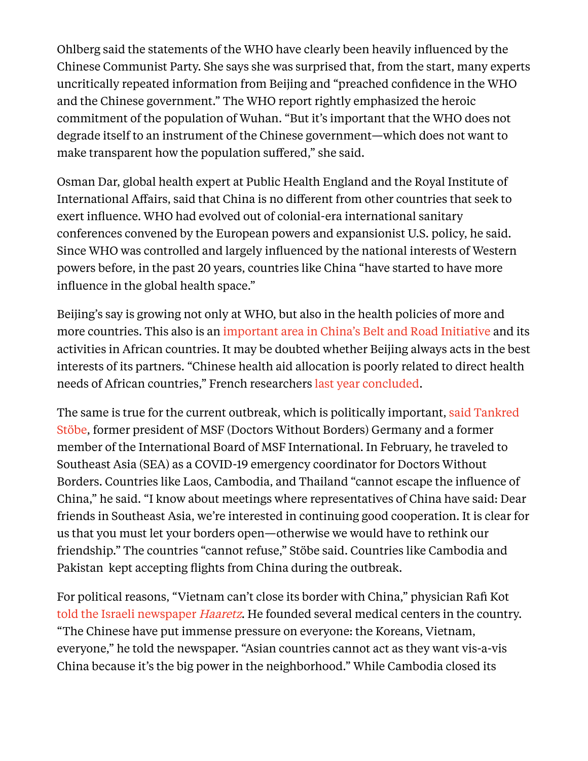Ohlberg said the statements of the WHO have clearly been heavily influenced by the Chinese Communist Party. She says she was surprised that, from the start, many experts uncritically repeated information from Beijing and "preached confidence in the WHO and the Chinese government." The WHO report rightly emphasized the heroic commitment of the population of Wuhan. "But it's important that the WHO does not degrade itself to an instrument of the Chinese government—which does not want to make transparent how the population suffered," she said.

Osman Dar, global health expert at Public Health England and the Royal Institute of International Affairs, said that China is no different from other countries that seek to exert influence. WHO had evolved out of colonial-era international sanitary conferences convened by the European powers and expansionist U.S. policy, he said. Since WHO was controlled and largely influenced by the national interests of Western powers before, in the past 20 years, countries like China "have started to have more influence in the global health space."

Beijing's say is growing not only at WHO, but also in the health policies of more and more countries. This also is an [important](https://www.sciencedirect.com/science/article/pii/S2414644719300089) area in China's Belt and Road Initiative and its activities in African countries. It may be doubted whether Beijing always acts in the best interests of its partners. "Chinese health aid allocation is poorly related to direct health needs of African countries," French researchers last year [concluded.](https://www.cairn.info/revue-d-economie-politique-2019-4-page-619.htm?contenu=article)

The same is true for the current outbreak, which is politically [important,](https://www.tagesspiegel.de/wissen/coronavirus-vorsorge-in-entwicklungslaendern-menschen-zu-isolieren-waere-eine-herausforderung/25622332.html) said Tankred Stöbe, former president of MSF (Doctors Without Borders) Germany and a former member of the International Board of MSF International. In February, he traveled to Southeast Asia (SEA) as a COVID-19 emergency coordinator for Doctors Without Borders. Countries like Laos, Cambodia, and Thailand "cannot escape the influence of China," he said. "I know about meetings where representatives of China have said: Dear friends in Southeast Asia, we're interested in continuing good cooperation. It is clear for us that you must let your borders open—otherwise we would have to rethink our friendship." The countries "cannot refuse," Stöbe said. Countries like Cambodia and Pakistan kept accepting flights from China during the outbreak.

For political reasons, "Vietnam can't close its border with China," physician Rafi Kot told the Israeli [newspaper](https://www.haaretz.com/world-news/.premium-what-israel-can-learn-from-vietnam-on-how-to-beat-the-coronavirus-1.8589685) *Haaretz*. He founded several medical centers in the country. "The Chinese have put immense pressure on everyone: the Koreans, Vietnam, everyone," he told the newspaper. "Asian countries cannot act as they want vis-a-vis China because it's the big power in the neighborhood." While Cambodia closed its